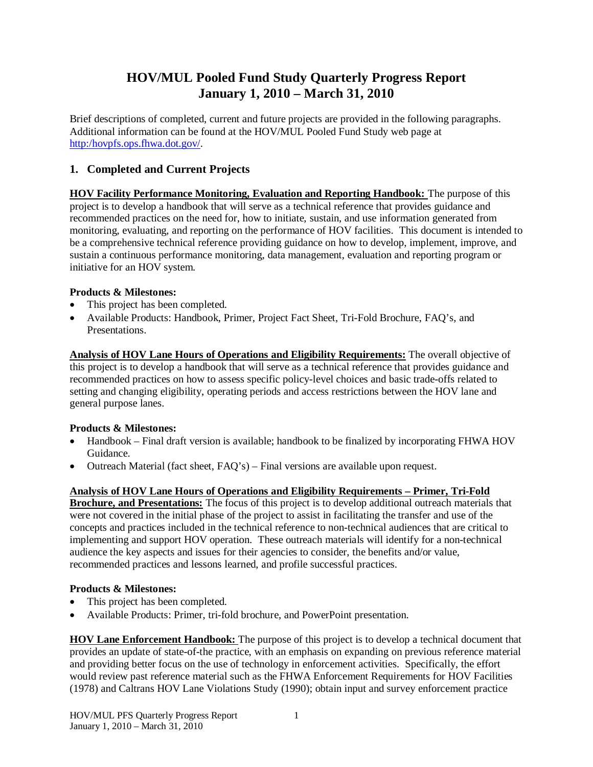# **HOV/MUL Pooled Fund Study Quarterly Progress Report January 1, 2010 – March 31, 2010**

Brief descriptions of completed, current and future projects are provided in the following paragraphs. Additional information can be found at the HOV/MUL Pooled Fund Study web page at http:/hovpfs.ops.fhwa.dot.gov/.

## **1. Completed and Current Projects**

**HOV Facility Performance Monitoring, Evaluation and Reporting Handbook:** The purpose of this project is to develop a handbook that will serve as a technical reference that provides guidance and recommended practices on the need for, how to initiate, sustain, and use information generated from monitoring, evaluating, and reporting on the performance of HOV facilities. This document is intended to be a comprehensive technical reference providing guidance on how to develop, implement, improve, and sustain a continuous performance monitoring, data management, evaluation and reporting program or initiative for an HOV system.

### **Products & Milestones:**

- This project has been completed.
- x Available Products: Handbook, Primer, Project Fact Sheet, Tri-Fold Brochure, FAQ's, and Presentations.

**Analysis of HOV Lane Hours of Operations and Eligibility Requirements:** The overall objective of this project is to develop a handbook that will serve as a technical reference that provides guidance and recommended practices on how to assess specific policy-level choices and basic trade-offs related to setting and changing eligibility, operating periods and access restrictions between the HOV lane and general purpose lanes.

## **Products & Milestones:**

- Handbook Final draft version is available; handbook to be finalized by incorporating FHWA HOV Guidance.
- Outreach Material (fact sheet,  $FAQ's$ ) Final versions are available upon request.

## **Analysis of HOV Lane Hours of Operations and Eligibility Requirements – Primer, Tri-Fold**

**Brochure, and Presentations:** The focus of this project is to develop additional outreach materials that were not covered in the initial phase of the project to assist in facilitating the transfer and use of the concepts and practices included in the technical reference to non-technical audiences that are critical to implementing and support HOV operation. These outreach materials will identify for a non-technical audience the key aspects and issues for their agencies to consider, the benefits and/or value, recommended practices and lessons learned, and profile successful practices.

### **Products & Milestones:**

- This project has been completed.
- x Available Products: Primer, tri-fold brochure, and PowerPoint presentation.

**HOV Lane Enforcement Handbook:** The purpose of this project is to develop a technical document that provides an update of state-of-the practice, with an emphasis on expanding on previous reference material and providing better focus on the use of technology in enforcement activities. Specifically, the effort would review past reference material such as the FHWA Enforcement Requirements for HOV Facilities (1978) and Caltrans HOV Lane Violations Study (1990); obtain input and survey enforcement practice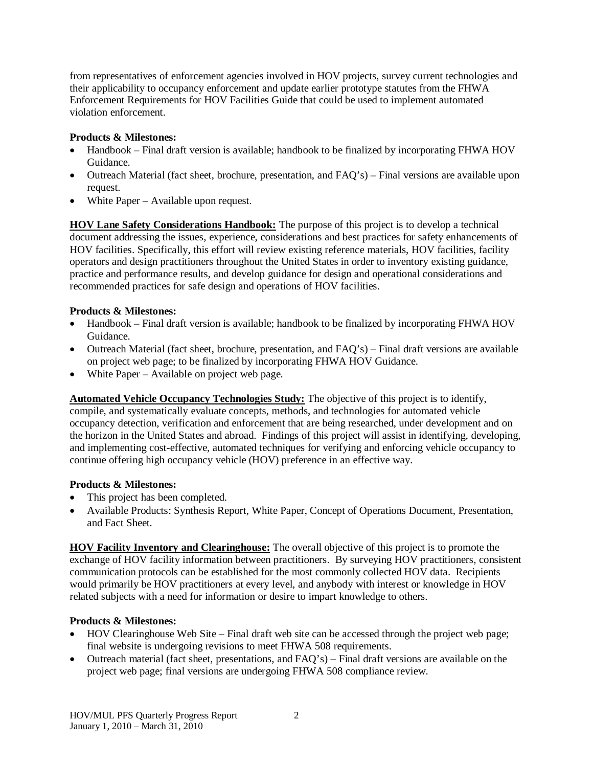from representatives of enforcement agencies involved in HOV projects, survey current technologies and their applicability to occupancy enforcement and update earlier prototype statutes from the FHWA Enforcement Requirements for HOV Facilities Guide that could be used to implement automated violation enforcement.

### **Products & Milestones:**

- Handbook Final draft version is available; handbook to be finalized by incorporating FHWA HOV Guidance.
- Outreach Material (fact sheet, brochure, presentation, and FAQ's) Final versions are available upon request.
- $\bullet$  White Paper Available upon request.

**HOV Lane Safety Considerations Handbook:** The purpose of this project is to develop a technical document addressing the issues, experience, considerations and best practices for safety enhancements of HOV facilities. Specifically, this effort will review existing reference materials, HOV facilities, facility operators and design practitioners throughout the United States in order to inventory existing guidance, practice and performance results, and develop guidance for design and operational considerations and recommended practices for safe design and operations of HOV facilities.

### **Products & Milestones:**

- Handbook Final draft version is available; handbook to be finalized by incorporating FHWA HOV Guidance.
- Outreach Material (fact sheet, brochure, presentation, and FAQ's) Final draft versions are available on project web page; to be finalized by incorporating FHWA HOV Guidance.
- $\bullet$  White Paper Available on project web page.

**Automated Vehicle Occupancy Technologies Study:** The objective of this project is to identify, compile, and systematically evaluate concepts, methods, and technologies for automated vehicle occupancy detection, verification and enforcement that are being researched, under development and on the horizon in the United States and abroad. Findings of this project will assist in identifying, developing, and implementing cost-effective, automated techniques for verifying and enforcing vehicle occupancy to continue offering high occupancy vehicle (HOV) preference in an effective way.

### **Products & Milestones:**

- This project has been completed.
- x Available Products: Synthesis Report, White Paper, Concept of Operations Document, Presentation, and Fact Sheet.

**HOV Facility Inventory and Clearinghouse:** The overall objective of this project is to promote the exchange of HOV facility information between practitioners. By surveying HOV practitioners, consistent communication protocols can be established for the most commonly collected HOV data. Recipients would primarily be HOV practitioners at every level, and anybody with interest or knowledge in HOV related subjects with a need for information or desire to impart knowledge to others.

## **Products & Milestones:**

- HOV Clearinghouse Web Site Final draft web site can be accessed through the project web page; final website is undergoing revisions to meet FHWA 508 requirements.
- Outreach material (fact sheet, presentations, and  $\text{FAO's}$ ) Final draft versions are available on the project web page; final versions are undergoing FHWA 508 compliance review.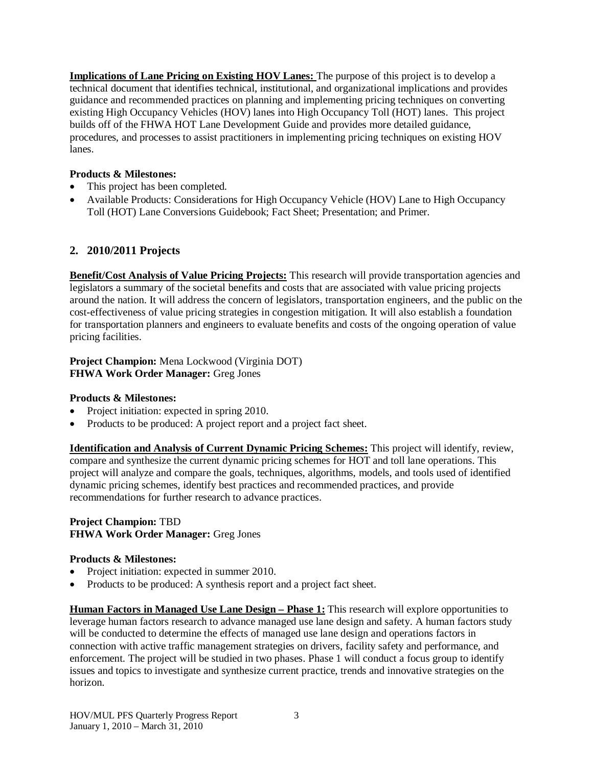**Implications of Lane Pricing on Existing HOV Lanes:** The purpose of this project is to develop a technical document that identifies technical, institutional, and organizational implications and provides guidance and recommended practices on planning and implementing pricing techniques on converting existing High Occupancy Vehicles (HOV) lanes into High Occupancy Toll (HOT) lanes. This project builds off of the FHWA HOT Lane Development Guide and provides more detailed guidance, procedures, and processes to assist practitioners in implementing pricing techniques on existing HOV lanes.

### **Products & Milestones:**

- This project has been completed.
- Available Products: Considerations for High Occupancy Vehicle (HOV) Lane to High Occupancy Toll (HOT) Lane Conversions Guidebook; Fact Sheet; Presentation; and Primer.

# **2. 2010/2011 Projects**

**Benefit/Cost Analysis of Value Pricing Projects:** This research will provide transportation agencies and legislators a summary of the societal benefits and costs that are associated with value pricing projects around the nation. It will address the concern of legislators, transportation engineers, and the public on the cost-effectiveness of value pricing strategies in congestion mitigation. It will also establish a foundation for transportation planners and engineers to evaluate benefits and costs of the ongoing operation of value pricing facilities.

**Project Champion:** Mena Lockwood (Virginia DOT) **FHWA Work Order Manager:** Greg Jones

### **Products & Milestones:**

- Project initiation: expected in spring 2010.
- Products to be produced: A project report and a project fact sheet.

**Identification and Analysis of Current Dynamic Pricing Schemes:** This project will identify, review, compare and synthesize the current dynamic pricing schemes for HOT and toll lane operations. This project will analyze and compare the goals, techniques, algorithms, models, and tools used of identified dynamic pricing schemes, identify best practices and recommended practices, and provide recommendations for further research to advance practices.

#### **Project Champion:** TBD **FHWA Work Order Manager:** Greg Jones

### **Products & Milestones:**

- Project initiation: expected in summer 2010.
- Products to be produced: A synthesis report and a project fact sheet.

**Human Factors in Managed Use Lane Design – Phase 1:** This research will explore opportunities to leverage human factors research to advance managed use lane design and safety. A human factors study will be conducted to determine the effects of managed use lane design and operations factors in connection with active traffic management strategies on drivers, facility safety and performance, and enforcement. The project will be studied in two phases. Phase 1 will conduct a focus group to identify issues and topics to investigate and synthesize current practice, trends and innovative strategies on the horizon.